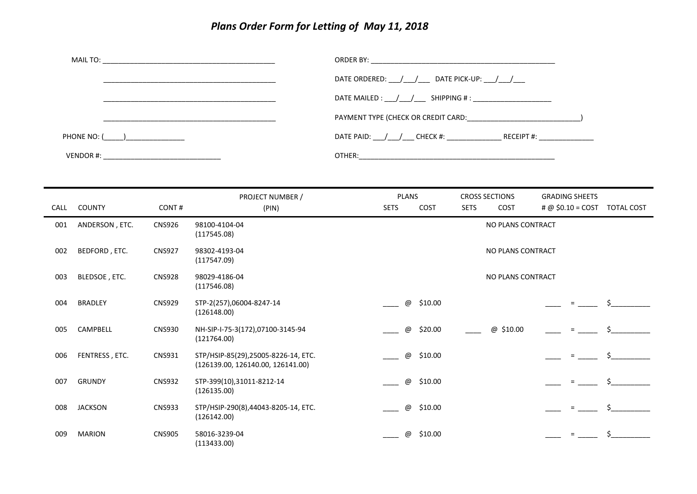## *Plans Order Form for Letting of May 11, 2018*

|               | DATE ORDERED: / / DATE PICK-UP: / /                                              |
|---------------|----------------------------------------------------------------------------------|
|               | DATE MAILED : $\frac{1}{\sqrt{2}}$ SHIPPING # :                                  |
|               | PAYMENT TYPE (CHECK OR CREDIT CARD: THE SERVICE OF STATES)                       |
| PHONE NO: ( ) | DATE PAID: / / ____ CHECK #: ______________________ RECEIPT #: _________________ |
|               |                                                                                  |

| CALL | <b>COUNTY</b>  | CONT#         | PROJECT NUMBER /<br>(PIN)                                                | <b>PLANS</b><br><b>SETS</b> | COST    | <b>SETS</b> | <b>CROSS SECTIONS</b><br>COST | <b>GRADING SHEETS</b><br># @ $$0.10 = COST$ | <b>TOTAL COST</b> |
|------|----------------|---------------|--------------------------------------------------------------------------|-----------------------------|---------|-------------|-------------------------------|---------------------------------------------|-------------------|
| 001  | ANDERSON, ETC. | <b>CNS926</b> | 98100-4104-04<br>(117545.08)                                             | NO PLANS CONTRACT           |         |             |                               |                                             |                   |
| 002  | BEDFORD, ETC.  | <b>CNS927</b> | 98302-4193-04<br>(117547.09)                                             | NO PLANS CONTRACT           |         |             |                               |                                             |                   |
| 003  | BLEDSOE, ETC.  | <b>CNS928</b> | 98029-4186-04<br>(117546.08)                                             | NO PLANS CONTRACT           |         |             |                               |                                             |                   |
| 004  | <b>BRADLEY</b> | <b>CNS929</b> | STP-2(257),06004-8247-14<br>(126148.00)                                  | @                           | \$10.00 |             |                               |                                             |                   |
| 005  | CAMPBELL       | <b>CNS930</b> | NH-SIP-I-75-3(172),07100-3145-94<br>(121764.00)                          | @                           | \$20.00 |             | @ \$10.00                     |                                             |                   |
| 006  | FENTRESS, ETC. | CNS931        | STP/HSIP-85(29),25005-8226-14, ETC.<br>(126139.00, 126140.00, 126141.00) | @                           | \$10.00 |             |                               | $=$                                         |                   |
| 007  | <b>GRUNDY</b>  | <b>CNS932</b> | STP-399(10),31011-8212-14<br>(126135.00)                                 | $^\copyright$               | \$10.00 |             |                               |                                             |                   |
| 008  | <b>JACKSON</b> | <b>CNS933</b> | STP/HSIP-290(8),44043-8205-14, ETC.<br>(126142.00)                       | @                           | \$10.00 |             |                               | $=$                                         |                   |
| 009  | <b>MARION</b>  | <b>CNS905</b> | 58016-3239-04<br>(113433.00)                                             | @                           | \$10.00 |             |                               |                                             |                   |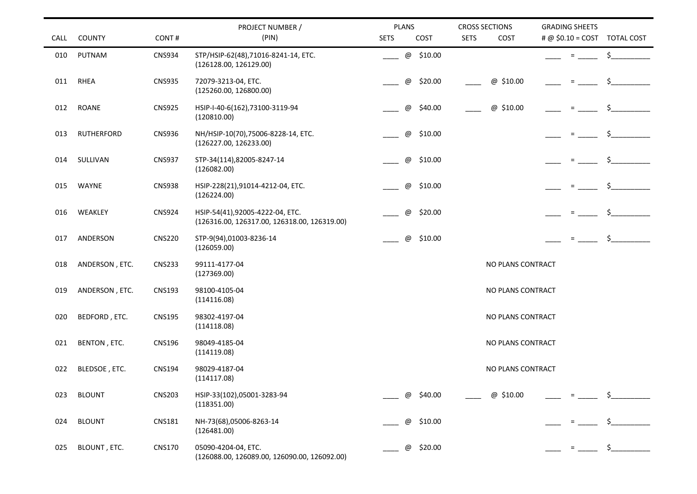|      |                   |               | PROJECT NUMBER /                                                                | <b>PLANS</b>        | <b>CROSS SECTIONS</b> | <b>GRADING SHEETS</b>           |
|------|-------------------|---------------|---------------------------------------------------------------------------------|---------------------|-----------------------|---------------------------------|
| CALL | <b>COUNTY</b>     | CONT#         | (PIN)                                                                           | <b>SETS</b><br>COST | <b>SETS</b><br>COST   | $\# @$ \$0.10 = COST TOTAL COST |
| 010  | PUTNAM            | <b>CNS934</b> | STP/HSIP-62(48),71016-8241-14, ETC.<br>(126128.00, 126129.00)                   | @ \$10.00           |                       | \$<br>Ξ.                        |
| 011  | RHEA              | <b>CNS935</b> | 72079-3213-04, ETC.<br>(125260.00, 126800.00)                                   | \$20.00<br>@        | @ \$10.00             |                                 |
| 012  | <b>ROANE</b>      | <b>CNS925</b> | HSIP-I-40-6(162),73100-3119-94<br>(120810.00)                                   | @<br>\$40.00        | @ \$10.00             | $=$                             |
| 013  | <b>RUTHERFORD</b> | <b>CNS936</b> | NH/HSIP-10(70),75006-8228-14, ETC.<br>(126227.00, 126233.00)                    | \$10.00<br>@        |                       | Ŝ.                              |
| 014  | SULLIVAN          | <b>CNS937</b> | STP-34(114),82005-8247-14<br>(126082.00)                                        | \$10.00<br>@        |                       |                                 |
| 015  | <b>WAYNE</b>      | <b>CNS938</b> | HSIP-228(21),91014-4212-04, ETC.<br>(126224.00)                                 | \$10.00<br>@        |                       |                                 |
| 016  | WEAKLEY           | <b>CNS924</b> | HSIP-54(41),92005-4222-04, ETC.<br>(126316.00, 126317.00, 126318.00, 126319.00) | \$20.00<br>@        |                       |                                 |
| 017  | ANDERSON          | <b>CNS220</b> | STP-9(94),01003-8236-14<br>(126059.00)                                          | \$10.00<br>@        |                       | Ŝ.<br>$=$                       |
| 018  | ANDERSON, ETC.    | <b>CNS233</b> | 99111-4177-04<br>(127369.00)                                                    |                     | NO PLANS CONTRACT     |                                 |
| 019  | ANDERSON, ETC.    | <b>CNS193</b> | 98100-4105-04<br>(114116.08)                                                    |                     | NO PLANS CONTRACT     |                                 |
| 020  | BEDFORD, ETC.     | <b>CNS195</b> | 98302-4197-04<br>(114118.08)                                                    |                     | NO PLANS CONTRACT     |                                 |
| 021  | BENTON, ETC.      | <b>CNS196</b> | 98049-4185-04<br>(114119.08)                                                    |                     | NO PLANS CONTRACT     |                                 |
| 022  | BLEDSOE, ETC.     | <b>CNS194</b> | 98029-4187-04<br>(114117.08)                                                    |                     | NO PLANS CONTRACT     |                                 |
| 023  | <b>BLOUNT</b>     | <b>CNS203</b> | HSIP-33(102),05001-3283-94<br>(118351.00)                                       | \$40.00<br>@        | @ \$10.00             |                                 |
| 024  | <b>BLOUNT</b>     | <b>CNS181</b> | NH-73(68),05006-8263-14<br>(126481.00)                                          | \$10.00<br>@        |                       |                                 |
| 025  | BLOUNT, ETC.      | <b>CNS170</b> | 05090-4204-04, ETC.<br>(126088.00, 126089.00, 126090.00, 126092.00)             | \$20.00<br>@        |                       | $\zeta$<br>$=$                  |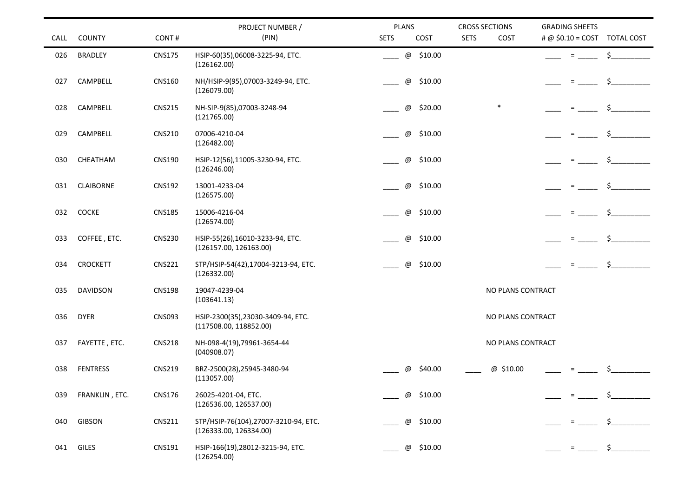|      |                  |               | PROJECT NUMBER /                                               | <b>PLANS</b>                         | <b>CROSS SECTIONS</b> | <b>GRADING SHEETS</b>        |
|------|------------------|---------------|----------------------------------------------------------------|--------------------------------------|-----------------------|------------------------------|
| CALL | <b>COUNTY</b>    | CONT#         | (PIN)                                                          | <b>SETS</b><br>COST                  | <b>SETS</b><br>COST   | # @ \$0.10 = COST TOTAL COST |
| 026  | <b>BRADLEY</b>   | <b>CNS175</b> | HSIP-60(35),06008-3225-94, ETC.<br>(126162.00)                 | @ \$10.00                            |                       | \$<br>$\equiv$               |
| 027  | CAMPBELL         | <b>CNS160</b> | NH/HSIP-9(95),07003-3249-94, ETC.<br>(126079.00)               | \$10.00<br>$^\copyright$             |                       | $=$                          |
| 028  | CAMPBELL         | <b>CNS215</b> | NH-SIP-9(85),07003-3248-94<br>(121765.00)                      | $^\text{\textregistered}$<br>\$20.00 | $\ast$                | $\equiv$                     |
| 029  | CAMPBELL         | <b>CNS210</b> | 07006-4210-04<br>(126482.00)                                   | \$10.00<br>@                         |                       | \$<br>$=$                    |
| 030  | CHEATHAM         | <b>CNS190</b> | HSIP-12(56),11005-3230-94, ETC.<br>(126246.00)                 | $^\copyright$<br>\$10.00             |                       |                              |
| 031  | <b>CLAIBORNE</b> | <b>CNS192</b> | 13001-4233-04<br>(126575.00)                                   | \$10.00<br>@                         |                       | $\equiv$                     |
| 032  | <b>COCKE</b>     | <b>CNS185</b> | 15006-4216-04<br>(126574.00)                                   | \$10.00<br>$^\copyright$             |                       | $=$                          |
| 033  | COFFEE, ETC.     | <b>CNS230</b> | HSIP-55(26),16010-3233-94, ETC.<br>(126157.00, 126163.00)      | $^\text{\textregistered}$<br>\$10.00 |                       | \$.<br>$=$                   |
| 034  | <b>CROCKETT</b>  | <b>CNS221</b> | STP/HSIP-54(42),17004-3213-94, ETC.<br>(126332.00)             | $^\text{\textregistered}$<br>\$10.00 |                       | \$<br>$\equiv$               |
| 035  | <b>DAVIDSON</b>  | <b>CNS198</b> | 19047-4239-04<br>(103641.13)                                   |                                      | NO PLANS CONTRACT     |                              |
| 036  | <b>DYER</b>      | <b>CNS093</b> | HSIP-2300(35),23030-3409-94, ETC.<br>(117508.00, 118852.00)    |                                      | NO PLANS CONTRACT     |                              |
| 037  | FAYETTE, ETC.    | <b>CNS218</b> | NH-098-4(19),79961-3654-44<br>(040908.07)                      |                                      | NO PLANS CONTRACT     |                              |
| 038  | <b>FENTRESS</b>  | <b>CNS219</b> | BRZ-2500(28),25945-3480-94<br>(113057.00)                      | $^{\copyright}$<br>\$40.00           | @ \$10.00             | $\equiv$                     |
| 039  | FRANKLIN, ETC.   | <b>CNS176</b> | 26025-4201-04, ETC.<br>(126536.00, 126537.00)                  | \$10.00<br>@                         |                       |                              |
| 040  | <b>GIBSON</b>    | <b>CNS211</b> | STP/HSIP-76(104),27007-3210-94, ETC.<br>(126333.00, 126334.00) | \$10.00<br>@                         |                       |                              |
| 041  | GILES            | CNS191        | HSIP-166(19),28012-3215-94, ETC.<br>(126254.00)                | \$10.00<br>@                         |                       | \$_                          |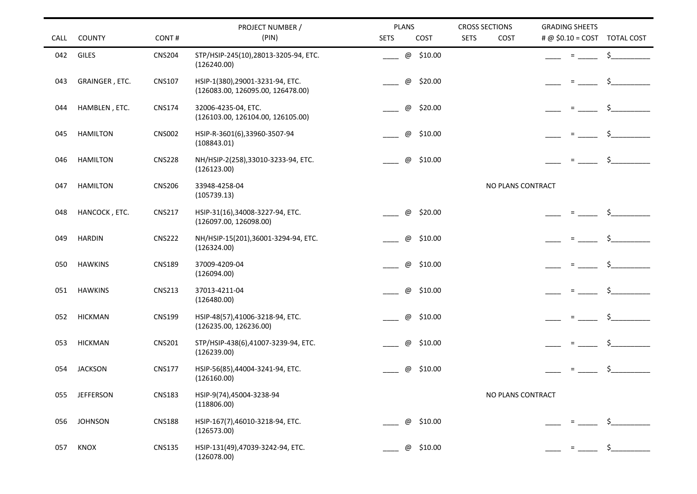|      |                  |               | PROJECT NUMBER /                                                      | <b>PLANS</b>                         | <b>CROSS SECTIONS</b> | <b>GRADING SHEETS</b>           |
|------|------------------|---------------|-----------------------------------------------------------------------|--------------------------------------|-----------------------|---------------------------------|
| CALL | <b>COUNTY</b>    | CONT#         | (PIN)                                                                 | <b>SETS</b><br>COST                  | <b>SETS</b><br>COST   | $\# @$ \$0.10 = COST TOTAL COST |
| 042  | GILES            | <b>CNS204</b> | STP/HSIP-245(10),28013-3205-94, ETC.<br>(126240.00)                   | @ \$10.00                            |                       | \$<br>$=$                       |
| 043  | GRAINGER, ETC.   | <b>CNS107</b> | HSIP-1(380), 29001-3231-94, ETC.<br>(126083.00, 126095.00, 126478.00) | \$20.00<br>@                         |                       | \$                              |
| 044  | HAMBLEN, ETC.    | <b>CNS174</b> | 32006-4235-04, ETC.<br>(126103.00, 126104.00, 126105.00)              | \$20.00<br>@                         |                       |                                 |
| 045  | <b>HAMILTON</b>  | <b>CNS002</b> | HSIP-R-3601(6),33960-3507-94<br>(108843.01)                           | \$10.00<br>$^\text{\textregistered}$ |                       | Ŝ.                              |
| 046  | <b>HAMILTON</b>  | <b>CNS228</b> | NH/HSIP-2(258),33010-3233-94, ETC.<br>(126123.00)                     | \$10.00<br>@                         |                       | \$                              |
| 047  | <b>HAMILTON</b>  | <b>CNS206</b> | 33948-4258-04<br>(105739.13)                                          |                                      | NO PLANS CONTRACT     |                                 |
| 048  | HANCOCK, ETC.    | <b>CNS217</b> | HSIP-31(16),34008-3227-94, ETC.<br>(126097.00, 126098.00)             | \$20.00<br>@                         |                       |                                 |
| 049  | <b>HARDIN</b>    | <b>CNS222</b> | NH/HSIP-15(201),36001-3294-94, ETC.<br>(126324.00)                    | \$10.00<br>$^\text{\textregistered}$ |                       | Ŝ.                              |
| 050  | <b>HAWKINS</b>   | <b>CNS189</b> | 37009-4209-04<br>(126094.00)                                          | \$10.00<br>@                         |                       | Ŝ.                              |
| 051  | <b>HAWKINS</b>   | <b>CNS213</b> | 37013-4211-04<br>(126480.00)                                          | \$10.00<br>@                         |                       |                                 |
| 052  | <b>HICKMAN</b>   | <b>CNS199</b> | HSIP-48(57),41006-3218-94, ETC.<br>(126235.00, 126236.00)             | \$10.00<br>@                         |                       | Ŝ.<br>$=$                       |
| 053  | <b>HICKMAN</b>   | <b>CNS201</b> | STP/HSIP-438(6),41007-3239-94, ETC.<br>(126239.00)                    | \$10.00<br>@                         |                       | \$                              |
| 054  | <b>JACKSON</b>   | <b>CNS177</b> | HSIP-56(85),44004-3241-94, ETC.<br>(126160.00)                        | \$10.00<br>@                         |                       | $=$                             |
| 055  | <b>JEFFERSON</b> | <b>CNS183</b> | HSIP-9(74),45004-3238-94<br>(118806.00)                               |                                      | NO PLANS CONTRACT     |                                 |
| 056  | <b>JOHNSON</b>   | <b>CNS188</b> | HSIP-167(7),46010-3218-94, ETC.<br>(126573.00)                        | \$10.00<br>@                         |                       |                                 |
| 057  | KNOX             | <b>CNS135</b> | HSIP-131(49),47039-3242-94, ETC.<br>(126078.00)                       | \$10.00<br>@                         |                       | $\frac{1}{2}$<br>$=$            |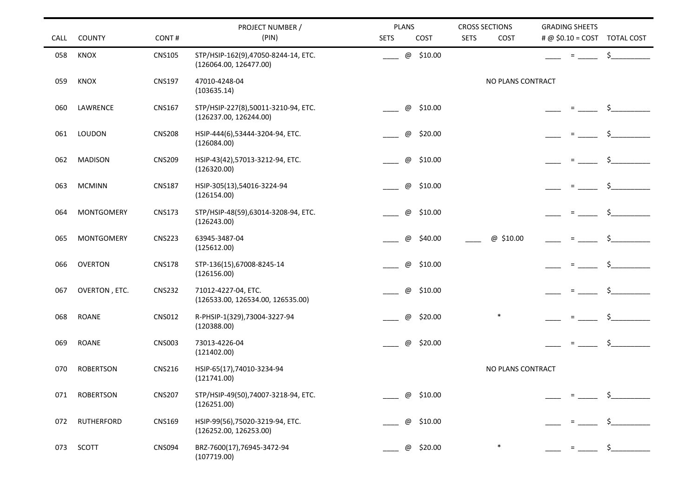|      |                   |               | PROJECT NUMBER /                                              | <b>PLANS</b>                         | <b>CROSS SECTIONS</b> | <b>GRADING SHEETS</b>        |
|------|-------------------|---------------|---------------------------------------------------------------|--------------------------------------|-----------------------|------------------------------|
| CALL | <b>COUNTY</b>     | CONT#         | (PIN)                                                         | <b>SETS</b><br>COST                  | <b>SETS</b><br>COST   | # @ \$0.10 = COST TOTAL COST |
| 058  | KNOX              | <b>CNS105</b> | STP/HSIP-162(9),47050-8244-14, ETC.<br>(126064.00, 126477.00) | @ \$10.00                            |                       | $\ddot{\mathsf{S}}$<br>$=$   |
| 059  | KNOX              | <b>CNS197</b> | 47010-4248-04<br>(103635.14)                                  |                                      | NO PLANS CONTRACT     |                              |
| 060  | LAWRENCE          | <b>CNS167</b> | STP/HSIP-227(8),50011-3210-94, ETC.<br>(126237.00, 126244.00) | \$10.00<br>$^\text{\textregistered}$ |                       |                              |
| 061  | LOUDON            | <b>CNS208</b> | HSIP-444(6),53444-3204-94, ETC.<br>(126084.00)                | $^\text{\textregistered}$<br>\$20.00 |                       | Ś.<br>$=$                    |
| 062  | <b>MADISON</b>    | <b>CNS209</b> | HSIP-43(42),57013-3212-94, ETC.<br>(126320.00)                | $^\text{\textregistered}$<br>\$10.00 |                       |                              |
| 063  | <b>MCMINN</b>     | <b>CNS187</b> | HSIP-305(13),54016-3224-94<br>(126154.00)                     | $^\text{\textregistered}$<br>\$10.00 |                       | $\equiv$                     |
| 064  | <b>MONTGOMERY</b> | <b>CNS173</b> | STP/HSIP-48(59),63014-3208-94, ETC.<br>(126243.00)            | $^\text{\textregistered}$<br>\$10.00 |                       | $=$                          |
| 065  | <b>MONTGOMERY</b> | <b>CNS223</b> | 63945-3487-04<br>(125612.00)                                  | $^\copyright$<br>\$40.00             | @ \$10.00             | \$.<br>$=$                   |
| 066  | <b>OVERTON</b>    | <b>CNS178</b> | STP-136(15),67008-8245-14<br>(126156.00)                      | $^\text{\textregistered}$<br>\$10.00 |                       | Ŝ.<br>$=$                    |
| 067  | OVERTON, ETC.     | <b>CNS232</b> | 71012-4227-04, ETC.<br>(126533.00, 126534.00, 126535.00)      | @<br>\$10.00                         |                       |                              |
| 068  | <b>ROANE</b>      | <b>CNS012</b> | R-PHSIP-1(329),73004-3227-94<br>(120388.00)                   | $^\copyright$<br>\$20.00             | $\ast$                | \$<br>$\equiv$               |
| 069  | <b>ROANE</b>      | <b>CNS003</b> | 73013-4226-04<br>(121402.00)                                  | \$20.00<br>$^\copyright$             |                       | \$<br>$=$                    |
| 070  | <b>ROBERTSON</b>  | <b>CNS216</b> | HSIP-65(17),74010-3234-94<br>(121741.00)                      |                                      | NO PLANS CONTRACT     |                              |
| 071  | <b>ROBERTSON</b>  | <b>CNS207</b> | STP/HSIP-49(50),74007-3218-94, ETC.<br>(126251.00)            | \$10.00<br>@                         |                       |                              |
| 072  | <b>RUTHERFORD</b> | <b>CNS169</b> | HSIP-99(56), 75020-3219-94, ETC.<br>(126252.00, 126253.00)    | \$10.00<br>@                         |                       |                              |
| 073  | SCOTT             | <b>CNS094</b> | BRZ-7600(17),76945-3472-94<br>(107719.00)                     | \$20.00<br>@                         |                       | \$<br>$\equiv$               |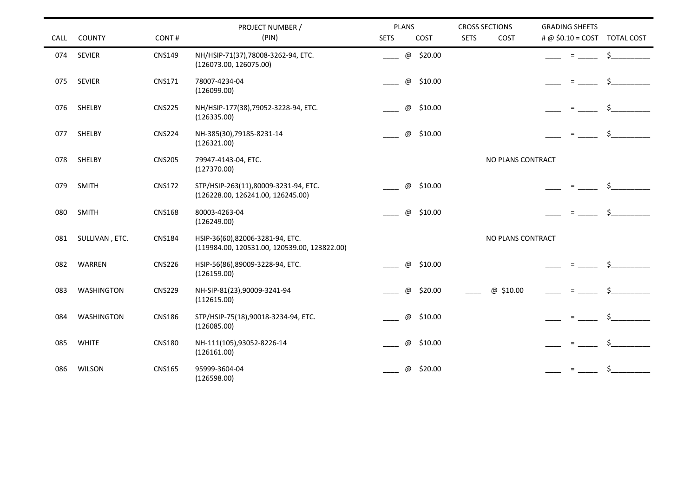|      |                   |               | PROJECT NUMBER /                             | <b>PLANS</b>              |           | <b>CROSS SECTIONS</b> |                   | <b>GRADING SHEETS</b> |          |                              |
|------|-------------------|---------------|----------------------------------------------|---------------------------|-----------|-----------------------|-------------------|-----------------------|----------|------------------------------|
| CALL | <b>COUNTY</b>     | CONT#         | (PIN)                                        | <b>SETS</b>               | COST      | <b>SETS</b>           | COST              |                       |          | # @ \$0.10 = COST TOTAL COST |
| 074  | <b>SEVIER</b>     | <b>CNS149</b> | NH/HSIP-71(37),78008-3262-94, ETC.           |                           | @ \$20.00 |                       |                   |                       | $=$      | \$                           |
|      |                   |               | (126073.00, 126075.00)                       |                           |           |                       |                   |                       |          |                              |
| 075  | <b>SEVIER</b>     | <b>CNS171</b> | 78007-4234-04                                | @                         | \$10.00   |                       |                   |                       | $=$      | \$                           |
|      |                   |               | (126099.00)                                  |                           |           |                       |                   |                       |          |                              |
| 076  | SHELBY            | <b>CNS225</b> | NH/HSIP-177(38),79052-3228-94, ETC.          | @                         | \$10.00   |                       |                   |                       | $=$      |                              |
|      |                   |               | (126335.00)                                  |                           |           |                       |                   |                       |          |                              |
| 077  | SHELBY            | <b>CNS224</b> | NH-385(30),79185-8231-14                     | $^\copyright$             | \$10.00   |                       |                   |                       | $\equiv$ | $\mathsf{S}_-$               |
|      |                   |               | (126321.00)                                  |                           |           |                       |                   |                       |          |                              |
| 078  | SHELBY            | <b>CNS205</b> | 79947-4143-04, ETC.                          |                           |           |                       | NO PLANS CONTRACT |                       |          |                              |
|      |                   |               | (127370.00)                                  |                           |           |                       |                   |                       |          |                              |
| 079  | <b>SMITH</b>      | <b>CNS172</b> | STP/HSIP-263(11),80009-3231-94, ETC.         | @                         | \$10.00   |                       |                   |                       |          |                              |
|      |                   |               | (126228.00, 126241.00, 126245.00)            |                           |           |                       |                   |                       |          |                              |
| 080  | <b>SMITH</b>      | <b>CNS168</b> | 80003-4263-04                                | @                         | \$10.00   |                       |                   |                       | $\equiv$ | \$                           |
|      |                   |               | (126249.00)                                  |                           |           |                       |                   |                       |          |                              |
| 081  | SULLIVAN, ETC.    | <b>CNS184</b> | HSIP-36(60),82006-3281-94, ETC.              |                           |           |                       | NO PLANS CONTRACT |                       |          |                              |
|      |                   |               | (119984.00, 120531.00, 120539.00, 123822.00) |                           |           |                       |                   |                       |          |                              |
| 082  | WARREN            | <b>CNS226</b> | HSIP-56(86),89009-3228-94, ETC.              | @                         | \$10.00   |                       |                   |                       |          | Ś.                           |
|      |                   |               | (126159.00)                                  |                           |           |                       |                   |                       |          |                              |
| 083  | <b>WASHINGTON</b> | <b>CNS229</b> | NH-SIP-81(23),90009-3241-94                  | @                         | \$20.00   |                       | @ \$10.00         |                       | $=$      | \$                           |
|      |                   |               | (112615.00)                                  |                           |           |                       |                   |                       |          |                              |
| 084  | WASHINGTON        | <b>CNS186</b> | STP/HSIP-75(18),90018-3234-94, ETC.          | @                         | \$10.00   |                       |                   |                       | $=$      | Ś.                           |
|      |                   |               | (126085.00)                                  |                           |           |                       |                   |                       |          |                              |
| 085  | <b>WHITE</b>      | <b>CNS180</b> | NH-111(105),93052-8226-14                    | $^\text{\textregistered}$ | \$10.00   |                       |                   |                       | $\equiv$ | \$                           |
|      |                   |               | (126161.00)                                  |                           |           |                       |                   |                       |          |                              |
| 086  | <b>WILSON</b>     | <b>CNS165</b> | 95999-3604-04                                | @                         | \$20.00   |                       |                   |                       |          | \$                           |
|      |                   |               | (126598.00)                                  |                           |           |                       |                   |                       |          |                              |